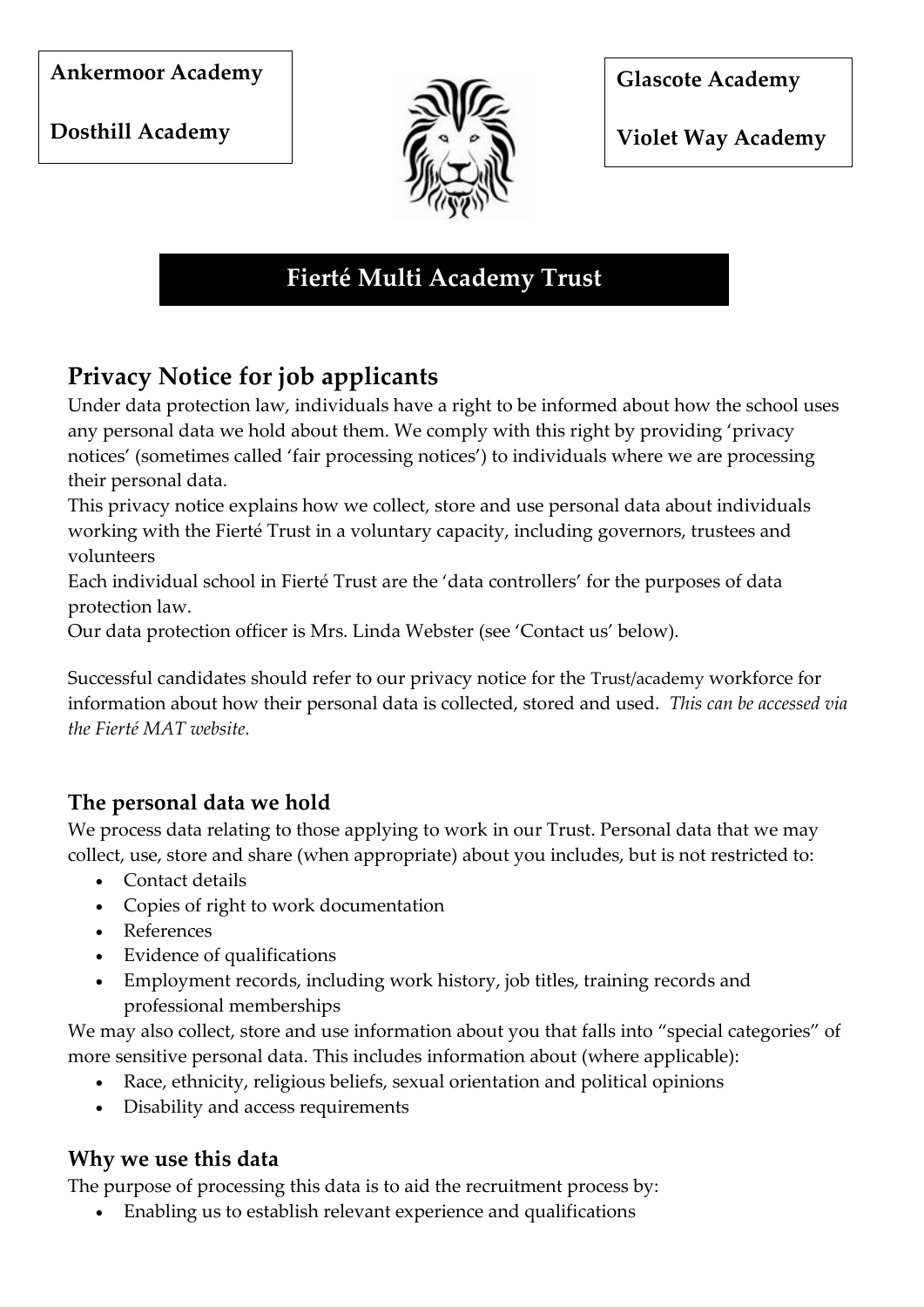#### **Ankermoor Academy**

**Dosthill Academy** 



**Glascote Academy** 

**Violet Way Academy** 

# **Fierté Multi Academy Trust**

# **Privacy Notice for job applicants**

Under data protection law, individuals have a right to be informed about how the school uses any personal data we hold about them. We comply with this right by providing 'privacy notices' (sometimes called 'fair processing notices') to individuals where we are processing their personal data.

This privacy notice explains how we collect, store and use personal data about individuals working with the Fierté Trust in a voluntary capacity, including governors, trustees and volunteers

Each individual school in Fierté Trust are the 'data controllers' for the purposes of data protection law.

Our data protection officer is Mrs. Linda Webster (see 'Contact us' below).

Successful candidates should refer to our privacy notice for the Trust/academy workforce for information about how their personal data is collected, stored and used. *This can be accessed via the Fierté MAT website.*

### **The personal data we hold**

We process data relating to those applying to work in our Trust. Personal data that we may collect, use, store and share (when appropriate) about you includes, but is not restricted to:

- Contact details
- Copies of right to work documentation
- References
- Evidence of qualifications
- Employment records, including work history, job titles, training records and professional memberships

We may also collect, store and use information about you that falls into "special categories" of more sensitive personal data. This includes information about (where applicable):

- Race, ethnicity, religious beliefs, sexual orientation and political opinions
- Disability and access requirements

#### **Why we use this data**

The purpose of processing this data is to aid the recruitment process by:

Enabling us to establish relevant experience and qualifications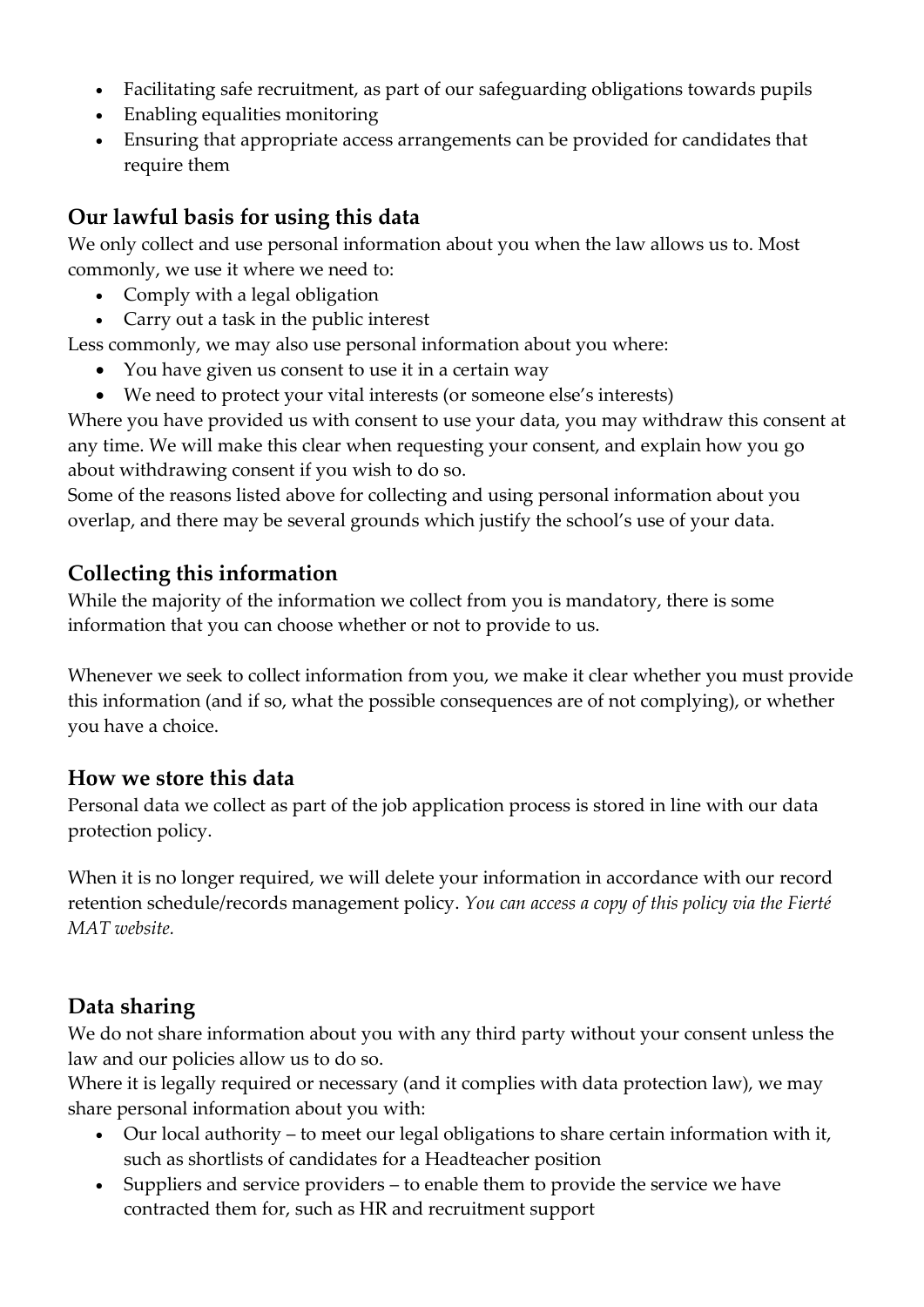- Facilitating safe recruitment, as part of our safeguarding obligations towards pupils
- Enabling equalities monitoring
- Ensuring that appropriate access arrangements can be provided for candidates that require them

## **Our lawful basis for using this data**

We only collect and use personal information about you when the law allows us to. Most commonly, we use it where we need to:

- Comply with a legal obligation
- Carry out a task in the public interest

Less commonly, we may also use personal information about you where:

- You have given us consent to use it in a certain way
- We need to protect your vital interests (or someone else's interests)

Where you have provided us with consent to use your data, you may withdraw this consent at any time. We will make this clear when requesting your consent, and explain how you go about withdrawing consent if you wish to do so.

Some of the reasons listed above for collecting and using personal information about you overlap, and there may be several grounds which justify the school's use of your data.

### **Collecting this information**

While the majority of the information we collect from you is mandatory, there is some information that you can choose whether or not to provide to us.

Whenever we seek to collect information from you, we make it clear whether you must provide this information (and if so, what the possible consequences are of not complying), or whether you have a choice.

#### **How we store this data**

Personal data we collect as part of the job application process is stored in line with our data protection policy.

When it is no longer required, we will delete your information in accordance with our record retention schedule/records management policy. *You can access a copy of this policy via the Fierté MAT website.*

### **Data sharing**

We do not share information about you with any third party without your consent unless the law and our policies allow us to do so.

Where it is legally required or necessary (and it complies with data protection law), we may share personal information about you with:

- Our local authority to meet our legal obligations to share certain information with it, such as shortlists of candidates for a Headteacher position
- Suppliers and service providers to enable them to provide the service we have contracted them for, such as HR and recruitment support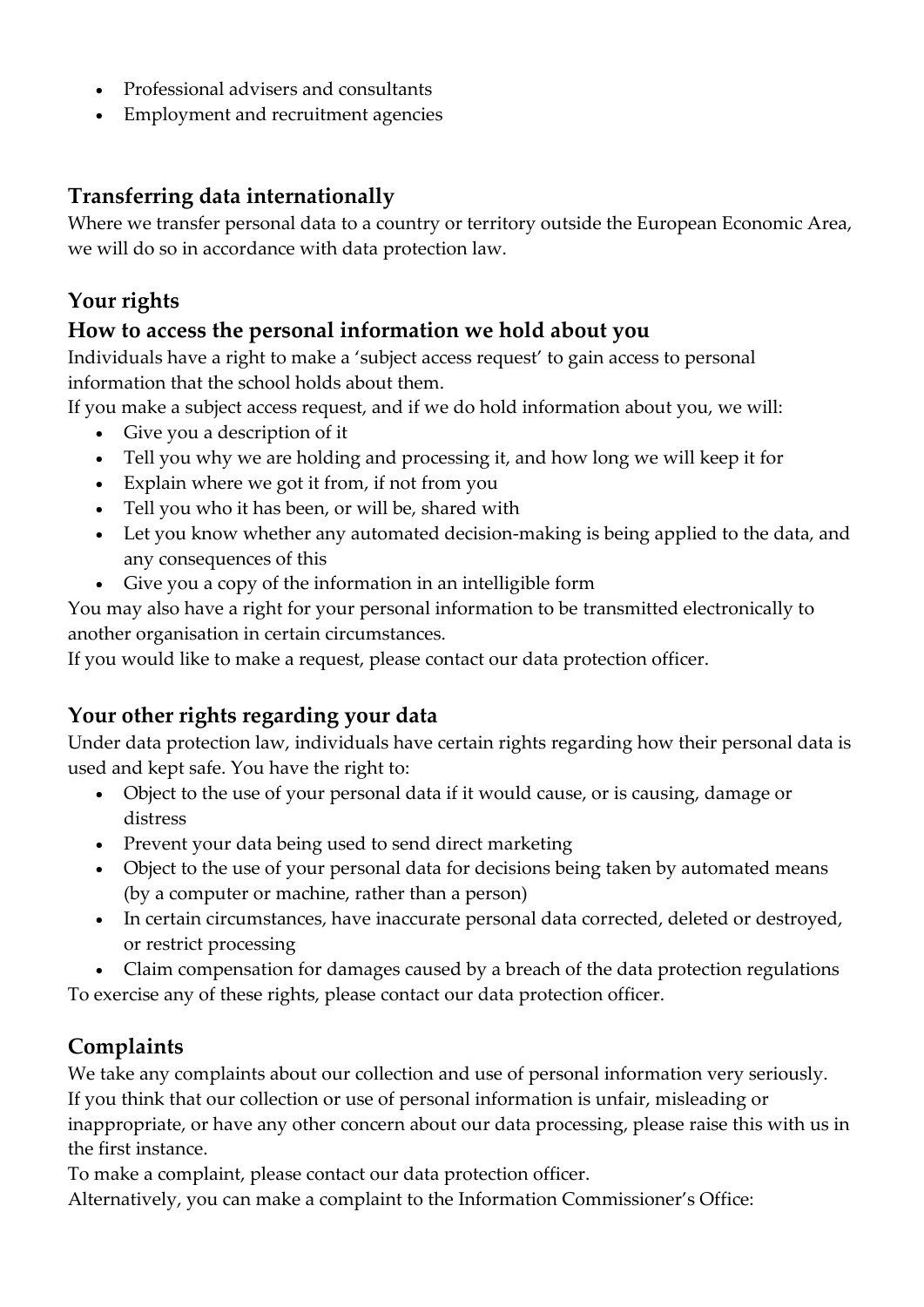- Professional advisers and consultants
- Employment and recruitment agencies

#### **Transferring data internationally**

Where we transfer personal data to a country or territory outside the European Economic Area, we will do so in accordance with data protection law.

### **Your rights**

#### **How to access the personal information we hold about you**

Individuals have a right to make a 'subject access request' to gain access to personal information that the school holds about them.

If you make a subject access request, and if we do hold information about you, we will:

- Give you a description of it
- Tell you why we are holding and processing it, and how long we will keep it for
- Explain where we got it from, if not from you
- Tell you who it has been, or will be, shared with
- Let you know whether any automated decision-making is being applied to the data, and any consequences of this
- Give you a copy of the information in an intelligible form

You may also have a right for your personal information to be transmitted electronically to another organisation in certain circumstances.

If you would like to make a request, please contact our data protection officer.

### **Your other rights regarding your data**

Under data protection law, individuals have certain rights regarding how their personal data is used and kept safe. You have the right to:

- Object to the use of your personal data if it would cause, or is causing, damage or distress
- Prevent your data being used to send direct marketing
- Object to the use of your personal data for decisions being taken by automated means (by a computer or machine, rather than a person)
- In certain circumstances, have inaccurate personal data corrected, deleted or destroyed, or restrict processing
- Claim compensation for damages caused by a breach of the data protection regulations

To exercise any of these rights, please contact our data protection officer.

### **Complaints**

We take any complaints about our collection and use of personal information very seriously.

If you think that our collection or use of personal information is unfair, misleading or inappropriate, or have any other concern about our data processing, please raise this with us in the first instance.

To make a complaint, please contact our data protection officer.

Alternatively, you can make a complaint to the Information Commissioner's Office: